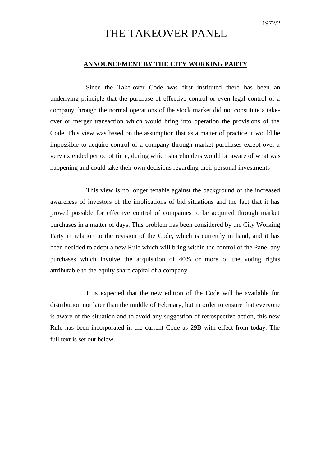## THE TAKEOVER PANEL

## **ANNOUNCEMENT BY THE CITY WORKING PARTY**

Since the Take-over Code was first instituted there has been an underlying principle that the purchase of effective control or even legal control of a company through the normal operations of the stock market did not constitute a takeover or merger transaction which would bring into operation the provisions of the Code. This view was based on the assumption that as a matter of practice it would be impossible to acquire control of a company through market purchases except over a very extended period of time, during which shareholders would be aware of what was happening and could take their own decisions regarding their personal investments.

This view is no longer tenable against the background of the increased awareness of investors of the implications of bid situations and the fact that it has proved possible for effective control of companies to be acquired through market purchases in a matter of days. This problem has been considered by the City Working Party in relation to the revision of the Code, which is currently in hand, and it has been decided to adopt a new Rule which will bring within the control of the Panel any purchases which involve the acquisition of 40% or more of the voting rights attributable to the equity share capital of a company.

It is expected that the new edition of the Code will be available for distribution not later than the middle of February, but in order to ensure that everyone is aware of the situation and to avoid any suggestion of retrospective action, this new Rule has been incorporated in the current Code as 29B with effect from today. The full text is set out below.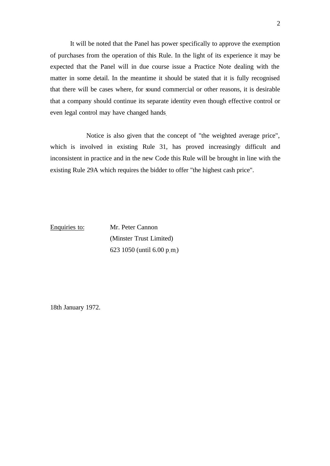It will be noted that the Panel has power specifically to approve the exemption of purchases from the operation of this Rule. In the light of its experience it may be expected that the Panel will in due course issue a Practice Note dealing with the matter in some detail. In the meantime it should be stated that it is fully recognised that there will be cases where, for sound commercial or other reasons, it is desirable that a company should continue its separate identity even though effective control or even legal control may have changed hands.

Notice is also given that the concept of "the weighted average price", which is involved in existing Rule 31, has proved increasingly difficult and inconsistent in practice and in the new Code this Rule will be brought in line with the existing Rule 29A which requires the bidder to offer "the highest cash price".

Enquiries to: Mr. Peter Cannon (Minster Trust Limited) 623 1050 (until 6.00 p.m.)

18th January 1972.